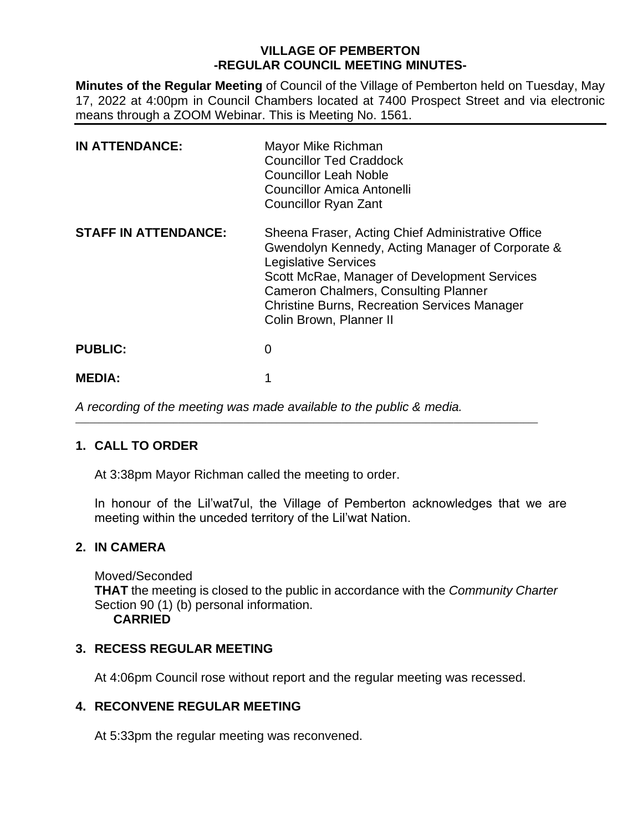# **VILLAGE OF PEMBERTON -REGULAR COUNCIL MEETING MINUTES-**

**Minutes of the Regular Meeting** of Council of the Village of Pemberton held on Tuesday, May 17, 2022 at 4:00pm in Council Chambers located at 7400 Prospect Street and via electronic means through a ZOOM Webinar. This is Meeting No. 1561.

| <b>IN ATTENDANCE:</b>       | Mayor Mike Richman<br><b>Councillor Ted Craddock</b><br><b>Councillor Leah Noble</b><br>Councillor Amica Antonelli<br><b>Councillor Ryan Zant</b>                                                                                                                                                                     |
|-----------------------------|-----------------------------------------------------------------------------------------------------------------------------------------------------------------------------------------------------------------------------------------------------------------------------------------------------------------------|
| <b>STAFF IN ATTENDANCE:</b> | Sheena Fraser, Acting Chief Administrative Office<br>Gwendolyn Kennedy, Acting Manager of Corporate &<br><b>Legislative Services</b><br>Scott McRae, Manager of Development Services<br><b>Cameron Chalmers, Consulting Planner</b><br><b>Christine Burns, Recreation Services Manager</b><br>Colin Brown, Planner II |
| <b>PUBLIC:</b>              | 0                                                                                                                                                                                                                                                                                                                     |
| <b>MEDIA:</b>               |                                                                                                                                                                                                                                                                                                                       |

*A recording of the meeting was made available to the public & media.* 

 $\_$  ,  $\_$  ,  $\_$  ,  $\_$  ,  $\_$  ,  $\_$  ,  $\_$  ,  $\_$  ,  $\_$  ,  $\_$  ,  $\_$  ,  $\_$  ,  $\_$  ,  $\_$  ,  $\_$  ,  $\_$  ,  $\_$  ,  $\_$  ,  $\_$  ,  $\_$  ,  $\_$  ,  $\_$  ,  $\_$  ,  $\_$  ,  $\_$  ,  $\_$  ,  $\_$  ,  $\_$  ,  $\_$  ,  $\_$  ,  $\_$  ,  $\_$  ,  $\_$  ,  $\_$  ,  $\_$  ,  $\_$  ,  $\_$  ,

### **1. CALL TO ORDER**

At 3:38pm Mayor Richman called the meeting to order.

In honour of the Lil'wat7ul, the Village of Pemberton acknowledges that we are meeting within the unceded territory of the Lil'wat Nation.

### **2. IN CAMERA**

Moved/Seconded **THAT** the meeting is closed to the public in accordance with the *Community Charter* Section 90 (1) (b) personal information. **CARRIED**

### **3. RECESS REGULAR MEETING**

At 4:06pm Council rose without report and the regular meeting was recessed.

# **4. RECONVENE REGULAR MEETING**

At 5:33pm the regular meeting was reconvened.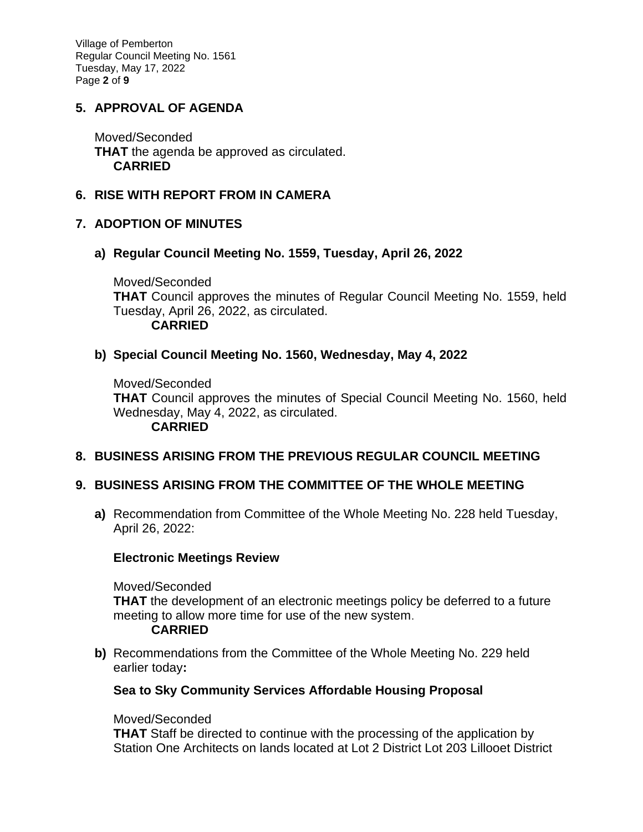Village of Pemberton Regular Council Meeting No. 1561 Tuesday, May 17, 2022 Page **2** of **9**

# **5. APPROVAL OF AGENDA**

Moved/Seconded **THAT** the agenda be approved as circulated. **CARRIED**

### **6. RISE WITH REPORT FROM IN CAMERA**

#### **7. ADOPTION OF MINUTES**

#### **a) Regular Council Meeting No. 1559, Tuesday, April 26, 2022**

Moved/Seconded **THAT** Council approves the minutes of Regular Council Meeting No. 1559, held Tuesday, April 26, 2022, as circulated. **CARRIED**

### **b) Special Council Meeting No. 1560, Wednesday, May 4, 2022**

Moved/Seconded **THAT** Council approves the minutes of Special Council Meeting No. 1560, held Wednesday, May 4, 2022, as circulated. **CARRIED**

### **8. BUSINESS ARISING FROM THE PREVIOUS REGULAR COUNCIL MEETING**

### **9. BUSINESS ARISING FROM THE COMMITTEE OF THE WHOLE MEETING**

**a)** Recommendation from Committee of the Whole Meeting No. 228 held Tuesday, April 26, 2022:

#### **Electronic Meetings Review**

Moved/Seconded **THAT** the development of an electronic meetings policy be deferred to a future meeting to allow more time for use of the new system.

#### **CARRIED**

**b)** Recommendations from the Committee of the Whole Meeting No. 229 held earlier today**:** 

#### **Sea to Sky Community Services Affordable Housing Proposal**

#### Moved/Seconded

**THAT** Staff be directed to continue with the processing of the application by Station One Architects on lands located at Lot 2 District Lot 203 Lillooet District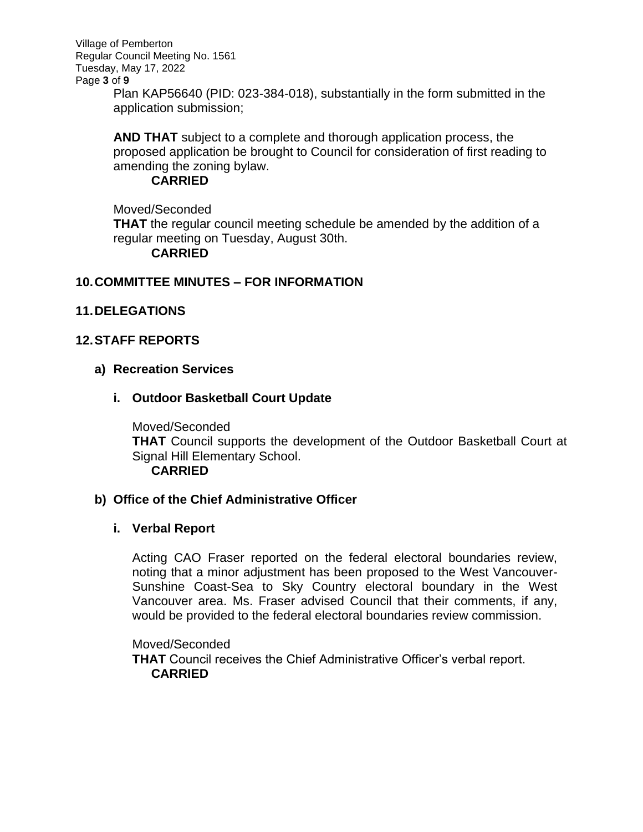Village of Pemberton Regular Council Meeting No. 1561 Tuesday, May 17, 2022 Page **3** of **9**

> Plan KAP56640 (PID: 023-384-018), substantially in the form submitted in the application submission;

> **AND THAT** subject to a complete and thorough application process, the proposed application be brought to Council for consideration of first reading to amending the zoning bylaw.

## **CARRIED**

Moved/Seconded **THAT** the regular council meeting schedule be amended by the addition of a regular meeting on Tuesday, August 30th. **CARRIED**

# **10.COMMITTEE MINUTES – FOR INFORMATION**

# **11.DELEGATIONS**

# **12.STAFF REPORTS**

### **a) Recreation Services**

# **i. Outdoor Basketball Court Update**

Moved/Seconded **THAT** Council supports the development of the Outdoor Basketball Court at Signal Hill Elementary School. **CARRIED**

### **b) Office of the Chief Administrative Officer**

### **i. Verbal Report**

Acting CAO Fraser reported on the federal electoral boundaries review, noting that a minor adjustment has been proposed to the West Vancouver-Sunshine Coast-Sea to Sky Country electoral boundary in the West Vancouver area. Ms. Fraser advised Council that their comments, if any, would be provided to the federal electoral boundaries review commission.

#### Moved/Seconded

**THAT** Council receives the Chief Administrative Officer's verbal report. **CARRIED**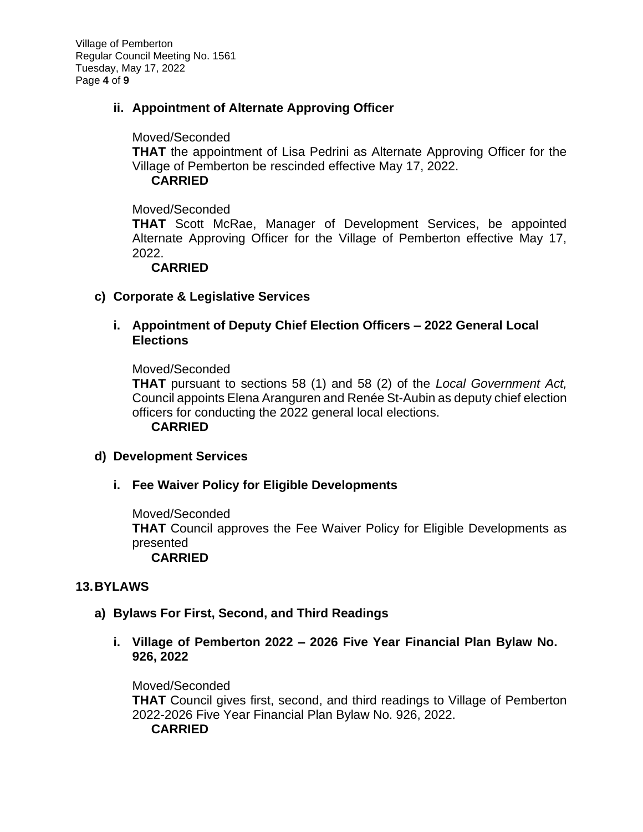Village of Pemberton Regular Council Meeting No. 1561 Tuesday, May 17, 2022 Page **4** of **9**

# **ii. Appointment of Alternate Approving Officer**

#### Moved/Seconded

**THAT** the appointment of Lisa Pedrini as Alternate Approving Officer for the Village of Pemberton be rescinded effective May 17, 2022.

#### **CARRIED**

Moved/Seconded

**THAT** Scott McRae, Manager of Development Services, be appointed Alternate Approving Officer for the Village of Pemberton effective May 17, 2022.

### **CARRIED**

### **c) Corporate & Legislative Services**

## **i. Appointment of Deputy Chief Election Officers – 2022 General Local Elections**

Moved/Seconded

**THAT** pursuant to sections 58 (1) and 58 (2) of the *Local Government Act,* Council appoints Elena Aranguren and Renée St-Aubin as deputy chief election officers for conducting the 2022 general local elections.

**CARRIED**

### **d) Development Services**

### **i. Fee Waiver Policy for Eligible Developments**

Moved/Seconded **THAT** Council approves the Fee Waiver Policy for Eligible Developments as presented **CARRIED**

### **13.BYLAWS**

### **a) Bylaws For First, Second, and Third Readings**

**i. Village of Pemberton 2022 – 2026 Five Year Financial Plan Bylaw No. 926, 2022**

Moved/Seconded **THAT** Council gives first, second, and third readings to Village of Pemberton 2022-2026 Five Year Financial Plan Bylaw No. 926, 2022. **CARRIED**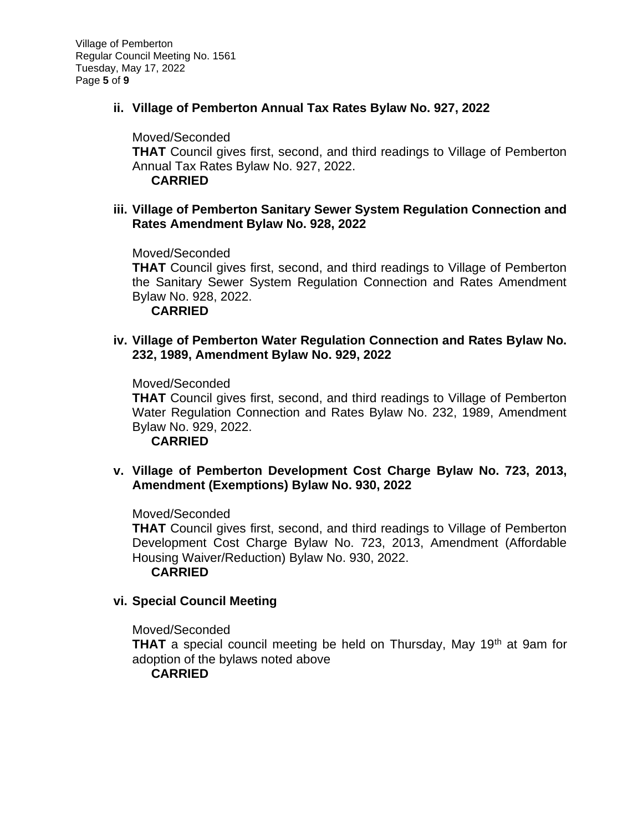## **ii. Village of Pemberton Annual Tax Rates Bylaw No. 927, 2022**

Moved/Seconded **THAT** Council gives first, second, and third readings to Village of Pemberton Annual Tax Rates Bylaw No. 927, 2022. **CARRIED**

#### **iii. Village of Pemberton Sanitary Sewer System Regulation Connection and Rates Amendment Bylaw No. 928, 2022**

Moved/Seconded

**THAT** Council gives first, second, and third readings to Village of Pemberton the Sanitary Sewer System Regulation Connection and Rates Amendment Bylaw No. 928, 2022.

**CARRIED**

### **iv. Village of Pemberton Water Regulation Connection and Rates Bylaw No. 232, 1989, Amendment Bylaw No. 929, 2022**

Moved/Seconded

**THAT** Council gives first, second, and third readings to Village of Pemberton Water Regulation Connection and Rates Bylaw No. 232, 1989, Amendment Bylaw No. 929, 2022.

**CARRIED**

### **v. Village of Pemberton Development Cost Charge Bylaw No. 723, 2013, Amendment (Exemptions) Bylaw No. 930, 2022**

Moved/Seconded

**THAT** Council gives first, second, and third readings to Village of Pemberton Development Cost Charge Bylaw No. 723, 2013, Amendment (Affordable Housing Waiver/Reduction) Bylaw No. 930, 2022.

#### **CARRIED**

### **vi. Special Council Meeting**

Moved/Seconded

**THAT** a special council meeting be held on Thursday, May 19<sup>th</sup> at 9am for adoption of the bylaws noted above

**CARRIED**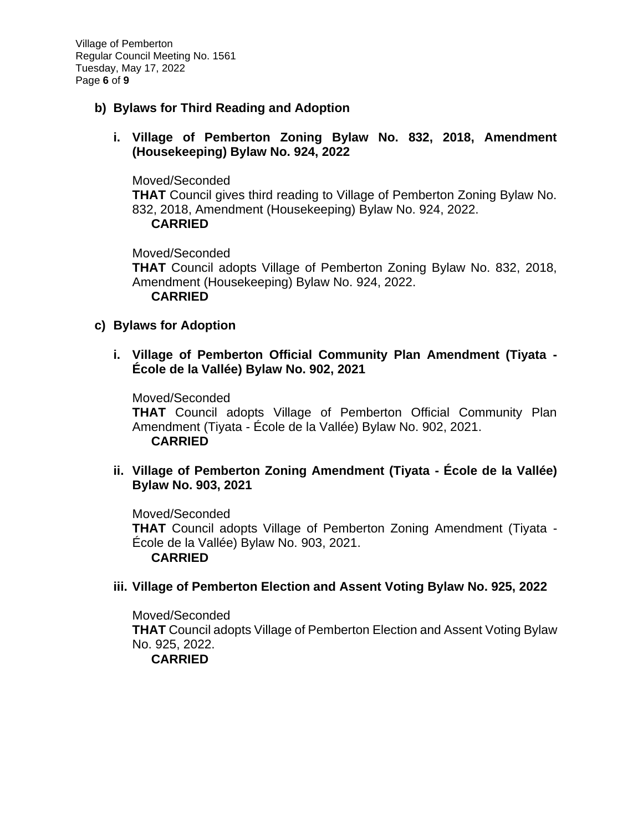Village of Pemberton Regular Council Meeting No. 1561 Tuesday, May 17, 2022 Page **6** of **9**

- **b) Bylaws for Third Reading and Adoption**
	- **i. Village of Pemberton Zoning Bylaw No. 832, 2018, Amendment (Housekeeping) Bylaw No. 924, 2022**

Moved/Seconded **THAT** Council gives third reading to Village of Pemberton Zoning Bylaw No. 832, 2018, Amendment (Housekeeping) Bylaw No. 924, 2022. **CARRIED**

Moved/Seconded **THAT** Council adopts Village of Pemberton Zoning Bylaw No. 832, 2018, Amendment (Housekeeping) Bylaw No. 924, 2022. **CARRIED**

### **c) Bylaws for Adoption**

**i. Village of Pemberton Official Community Plan Amendment (Tiyata - École de la Vallée) Bylaw No. 902, 2021**

Moved/Seconded **THAT** Council adopts Village of Pemberton Official Community Plan Amendment (Tiyata - École de la Vallée) Bylaw No. 902, 2021. **CARRIED**

**ii. Village of Pemberton Zoning Amendment (Tiyata - École de la Vallée) Bylaw No. 903, 2021**

Moved/Seconded **THAT** Council adopts Village of Pemberton Zoning Amendment (Tiyata - École de la Vallée) Bylaw No. 903, 2021. **CARRIED**

### **iii. Village of Pemberton Election and Assent Voting Bylaw No. 925, 2022**

Moved/Seconded **THAT** Council adopts Village of Pemberton Election and Assent Voting Bylaw No. 925, 2022. **CARRIED**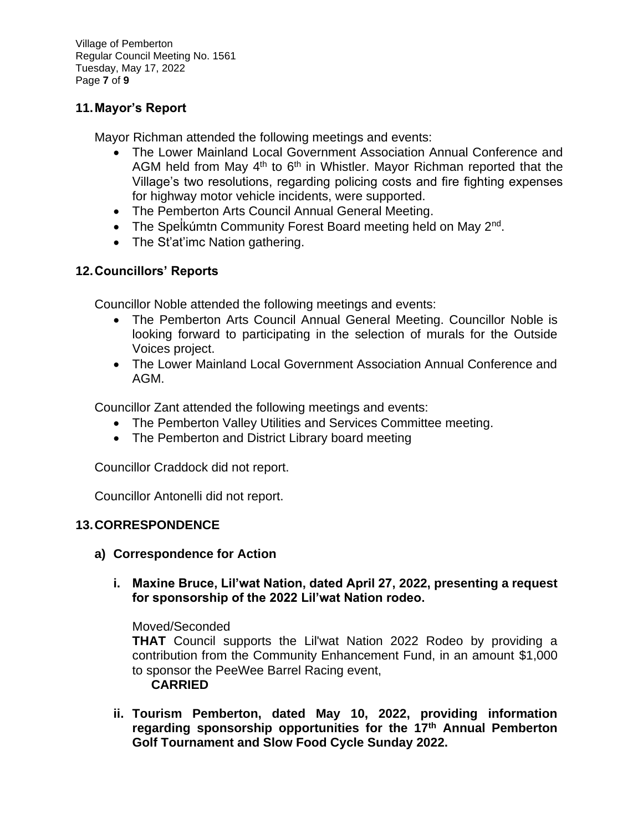Village of Pemberton Regular Council Meeting No. 1561 Tuesday, May 17, 2022 Page **7** of **9**

# **11.Mayor's Report**

Mayor Richman attended the following meetings and events:

- The Lower Mainland Local Government Association Annual Conference and AGM held from May  $4<sup>th</sup>$  to  $6<sup>th</sup>$  in Whistler. Mayor Richman reported that the Village's two resolutions, regarding policing costs and fire fighting expenses for highway motor vehicle incidents, were supported.
- The Pemberton Arts Council Annual General Meeting.
- The Spelkumtn Community Forest Board meeting held on May 2<sup>nd</sup>.
- The St'at'imc Nation gathering.

# **12.Councillors' Reports**

Councillor Noble attended the following meetings and events:

- The Pemberton Arts Council Annual General Meeting. Councillor Noble is looking forward to participating in the selection of murals for the Outside Voices project.
- The Lower Mainland Local Government Association Annual Conference and AGM.

Councillor Zant attended the following meetings and events:

- The Pemberton Valley Utilities and Services Committee meeting.
- The Pemberton and District Library board meeting

Councillor Craddock did not report.

Councillor Antonelli did not report.

### **13.CORRESPONDENCE**

- **a) Correspondence for Action**
	- **i. Maxine Bruce, Lil'wat Nation, dated April 27, 2022, presenting a request for sponsorship of the 2022 Lil'wat Nation rodeo.**

Moved/Seconded

**THAT** Council supports the Lil'wat Nation 2022 Rodeo by providing a contribution from the Community Enhancement Fund, in an amount \$1,000 to sponsor the PeeWee Barrel Racing event,

#### **CARRIED**

**ii. Tourism Pemberton, dated May 10, 2022, providing information regarding sponsorship opportunities for the 17th Annual Pemberton Golf Tournament and Slow Food Cycle Sunday 2022.**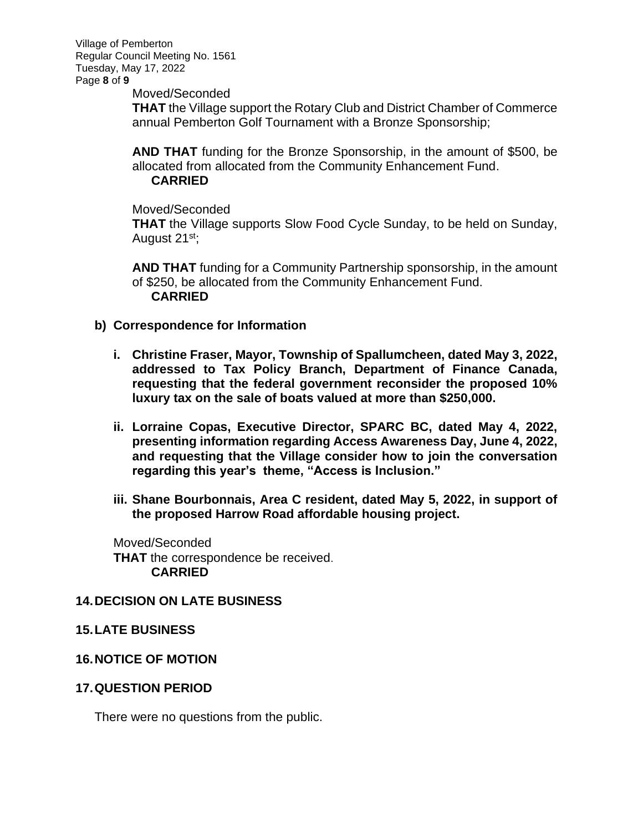Village of Pemberton Regular Council Meeting No. 1561 Tuesday, May 17, 2022 Page **8** of **9**

Moved/Seconded

**THAT** the Village support the Rotary Club and District Chamber of Commerce annual Pemberton Golf Tournament with a Bronze Sponsorship;

**AND THAT** funding for the Bronze Sponsorship, in the amount of \$500, be allocated from allocated from the Community Enhancement Fund. **CARRIED**

Moved/Seconded

**THAT** the Village supports Slow Food Cycle Sunday, to be held on Sunday, August 21<sup>st</sup>;

**AND THAT** funding for a Community Partnership sponsorship, in the amount of \$250, be allocated from the Community Enhancement Fund. **CARRIED**

- **b) Correspondence for Information**
	- **i. Christine Fraser, Mayor, Township of Spallumcheen, dated May 3, 2022, addressed to Tax Policy Branch, Department of Finance Canada, requesting that the federal government reconsider the proposed 10% luxury tax on the sale of boats valued at more than \$250,000.**
	- **ii. Lorraine Copas, Executive Director, SPARC BC, dated May 4, 2022, presenting information regarding Access Awareness Day, June 4, 2022, and requesting that the Village consider how to join the conversation regarding this year's theme, "Access is Inclusion."**
	- **iii. Shane Bourbonnais, Area C resident, dated May 5, 2022, in support of the proposed Harrow Road affordable housing project.**

Moved/Seconded **THAT** the correspondence be received. **CARRIED**

#### **14.DECISION ON LATE BUSINESS**

#### **15.LATE BUSINESS**

### **16.NOTICE OF MOTION**

#### **17.QUESTION PERIOD**

There were no questions from the public.